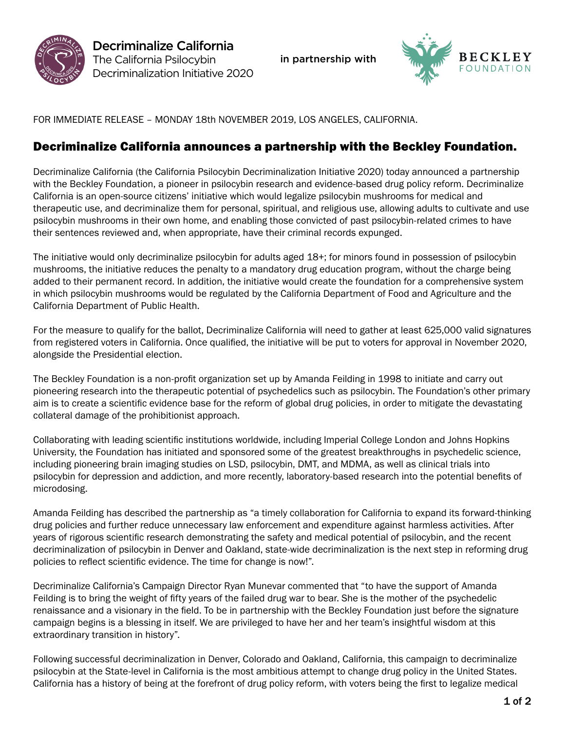



FOR IMMEDIATE RELEASE – MONDAY 18th NOVEMBER 2019, LOS ANGELES, CALIFORNIA.

## Decriminalize California announces a partnership with the Beckley Foundation.

Decriminalize California (the California Psilocybin Decriminalization Initiative 2020) today announced a partnership with the Beckley Foundation, a pioneer in psilocybin research and evidence-based drug policy reform. Decriminalize California is an open-source citizens' initiative which would legalize psilocybin mushrooms for medical and therapeutic use, and decriminalize them for personal, spiritual, and religious use, allowing adults to cultivate and use psilocybin mushrooms in their own home, and enabling those convicted of past psilocybin-related crimes to have their sentences reviewed and, when appropriate, have their criminal records expunged.

The initiative would only decriminalize psilocybin for adults aged 18+; for minors found in possession of psilocybin mushrooms, the initiative reduces the penalty to a mandatory drug education program, without the charge being added to their permanent record. In addition, the initiative would create the foundation for a comprehensive system in which psilocybin mushrooms would be regulated by the California Department of Food and Agriculture and the California Department of Public Health.

For the measure to qualify for the ballot, Decriminalize California will need to gather at least 625,000 valid signatures from registered voters in California. Once qualified, the initiative will be put to voters for approval in November 2020, alongside the Presidential election.

The Beckley Foundation is a non-profit organization set up by Amanda Feilding in 1998 to initiate and carry out pioneering research into the therapeutic potential of psychedelics such as psilocybin. The Foundation's other primary aim is to create a scientific evidence base for the reform of global drug policies, in order to mitigate the devastating collateral damage of the prohibitionist approach.

Collaborating with leading scientific institutions worldwide, including Imperial College London and Johns Hopkins University, the Foundation has initiated and sponsored some of the greatest breakthroughs in psychedelic science, including pioneering brain imaging studies on LSD, psilocybin, DMT, and MDMA, as well as clinical trials into psilocybin for depression and addiction, and more recently, laboratory-based research into the potential benefits of microdosing.

Amanda Feilding has described the partnership as "a timely collaboration for California to expand its forward-thinking drug policies and further reduce unnecessary law enforcement and expenditure against harmless activities. After years of rigorous scientific research demonstrating the safety and medical potential of psilocybin, and the recent decriminalization of psilocybin in Denver and Oakland, state-wide decriminalization is the next step in reforming drug policies to reflect scientific evidence. The time for change is now!".

Decriminalize California's Campaign Director Ryan Munevar commented that "to have the support of Amanda Feilding is to bring the weight of fifty years of the failed drug war to bear. She is the mother of the psychedelic renaissance and a visionary in the field. To be in partnership with the Beckley Foundation just before the signature campaign begins is a blessing in itself. We are privileged to have her and her team's insightful wisdom at this extraordinary transition in history".

Following successful decriminalization in Denver, Colorado and Oakland, California, this campaign to decriminalize psilocybin at the State-level in California is the most ambitious attempt to change drug policy in the United States. California has a history of being at the forefront of drug policy reform, with voters being the first to legalize medical